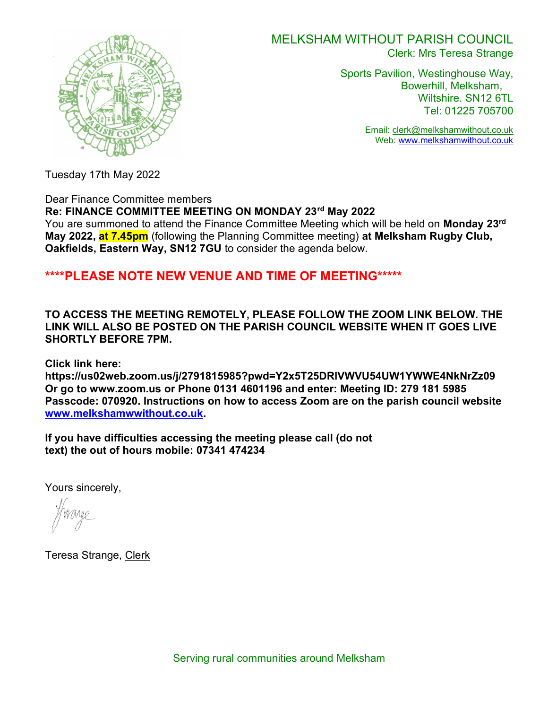

## MELKSHAM WITHOUT PARISH COUNCIL Clerk: Mrs Teresa Strange

Sports Pavilion, Westinghouse Way, Bowerhill, Melksham, Wiltshire. SN12 6TL Tel: 01225 705700

> Email: clerk@melkshamwithout.co.uk Web: www.melkshamwithout.co.uk

Tuesday 17th May 2022

Dear Finance Committee members Re: FINANCE COMMITTEE MEETING ON MONDAY 23rd May 2022

You are summoned to attend the Finance Committee Meeting which will be held on Monday 23<sup>rd</sup> May 2022, at 7.45pm (following the Planning Committee meeting) at Melksham Rugby Club, Oakfields, Eastern Way, SN12 7GU to consider the agenda below.

# \*\*\*\*PLEASE NOTE NEW VENUE AND TIME OF MEETING\*\*\*\*\*

TO ACCESS THE MEETING REMOTELY, PLEASE FOLLOW THE ZOOM LINK BELOW. THE LINK WILL ALSO BE POSTED ON THE PARISH COUNCIL WEBSITE WHEN IT GOES LIVE SHORTLY BEFORE 7PM.

Click link here:

https://us02web.zoom.us/j/2791815985?pwd=Y2x5T25DRlVWVU54UW1YWWE4NkNrZz09 Or go to www.zoom.us or Phone 0131 4601196 and enter: Meeting ID: 279 181 5985 Passcode: 070920. Instructions on how to access Zoom are on the parish council website www.melkshamwwithout.co.uk.

If you have difficulties accessing the meeting please call (do not text) the out of hours mobile: 07341 474234

Yours sincerely,

Teresa Strange, Clerk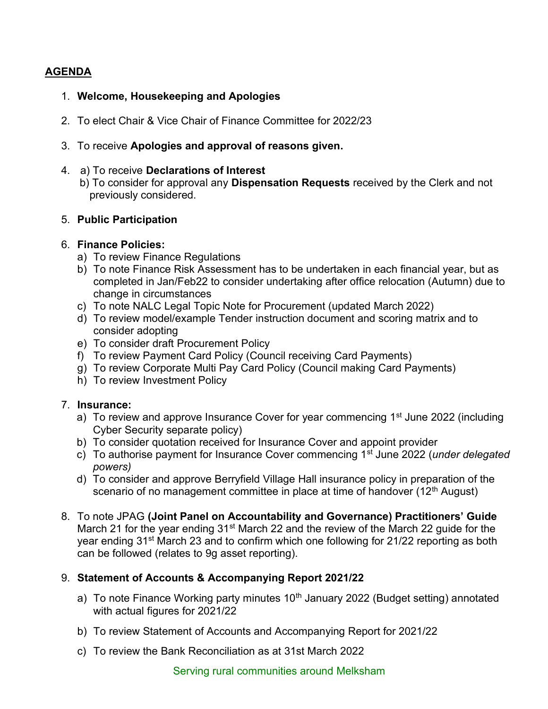# AGENDA

## 1. Welcome, Housekeeping and Apologies

- 2. To elect Chair & Vice Chair of Finance Committee for 2022/23
- 3. To receive Apologies and approval of reasons given.
- 4. a) To receive Declarations of Interest
	- b) To consider for approval any **Dispensation Requests** received by the Clerk and not previously considered.
- 5. Public Participation

## 6. Finance Policies:

- a) To review Finance Regulations
- b) To note Finance Risk Assessment has to be undertaken in each financial year, but as completed in Jan/Feb22 to consider undertaking after office relocation (Autumn) due to change in circumstances
- c) To note NALC Legal Topic Note for Procurement (updated March 2022)
- d) To review model/example Tender instruction document and scoring matrix and to consider adopting
- e) To consider draft Procurement Policy
- f) To review Payment Card Policy (Council receiving Card Payments)
- g) To review Corporate Multi Pay Card Policy (Council making Card Payments)
- h) To review Investment Policy

## 7. Insurance:

- a) To review and approve Insurance Cover for year commencing 1<sup>st</sup> June 2022 (including Cyber Security separate policy)
- b) To consider quotation received for Insurance Cover and appoint provider
- c) To authorise payment for Insurance Cover commencing 1<sup>st</sup> June 2022 (under delegated powers)
- d) To consider and approve Berryfield Village Hall insurance policy in preparation of the scenario of no management committee in place at time of handover (12<sup>th</sup> August)
- 8. To note JPAG (Joint Panel on Accountability and Governance) Practitioners' Guide March 21 for the year ending  $31<sup>st</sup>$  March 22 and the review of the March 22 guide for the year ending 31<sup>st</sup> March 23 and to confirm which one following for 21/22 reporting as both can be followed (relates to 9g asset reporting).

# 9. Statement of Accounts & Accompanying Report 2021/22

- a) To note Finance Working party minutes  $10<sup>th</sup>$  January 2022 (Budget setting) annotated with actual figures for 2021/22
- b) To review Statement of Accounts and Accompanying Report for 2021/22
- c) To review the Bank Reconciliation as at 31st March 2022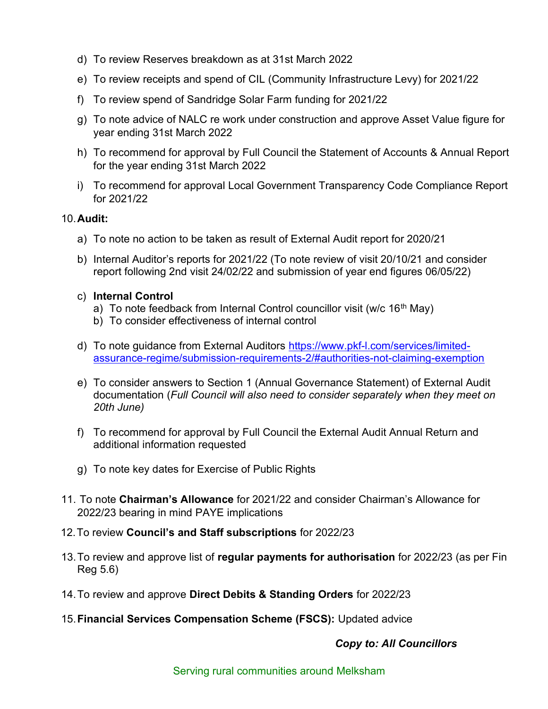- d) To review Reserves breakdown as at 31st March 2022
- e) To review receipts and spend of CIL (Community Infrastructure Levy) for 2021/22
- f) To review spend of Sandridge Solar Farm funding for 2021/22
- g) To note advice of NALC re work under construction and approve Asset Value figure for year ending 31st March 2022
- h) To recommend for approval by Full Council the Statement of Accounts & Annual Report for the year ending 31st March 2022
- i) To recommend for approval Local Government Transparency Code Compliance Report for 2021/22

#### 10. Audit:

- a) To note no action to be taken as result of External Audit report for 2020/21
- b) Internal Auditor's reports for 2021/22 (To note review of visit 20/10/21 and consider report following 2nd visit 24/02/22 and submission of year end figures 06/05/22)

#### c) Internal Control

- a) To note feedback from Internal Control councillor visit (w/c 16<sup>th</sup> May)
- b) To consider effectiveness of internal control
- d) To note guidance from External Auditors https://www.pkf-l.com/services/limitedassurance-regime/submission-requirements-2/#authorities-not-claiming-exemption
- e) To consider answers to Section 1 (Annual Governance Statement) of External Audit documentation (Full Council will also need to consider separately when they meet on 20th June)
- f) To recommend for approval by Full Council the External Audit Annual Return and additional information requested
- g) To note key dates for Exercise of Public Rights
- 11. To note Chairman's Allowance for 2021/22 and consider Chairman's Allowance for 2022/23 bearing in mind PAYE implications
- 12. To review Council's and Staff subscriptions for 2022/23
- 13. To review and approve list of **regular payments for authorisation** for 2022/23 (as per Fin Reg 5.6)
- 14. To review and approve Direct Debits & Standing Orders for 2022/23
- 15. Financial Services Compensation Scheme (FSCS): Updated advice

#### Copy to: All Councillors